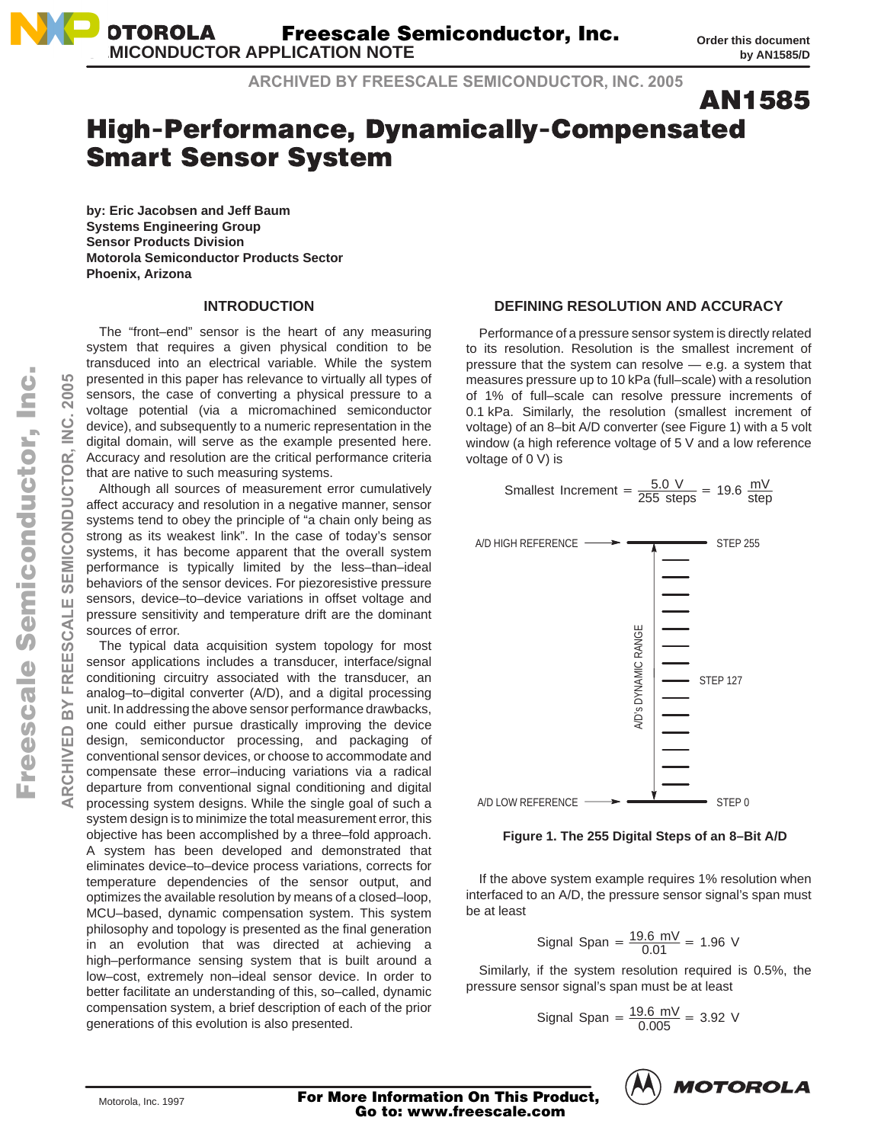**ARCHIVED BY FREESCALE SEMICONDUCTOR, INC. 2005**

**AN1585** 

# High-Performance, Dynamically-Compensated **Smart Sensor System**

**by: Eric Jacobsen and Jeff Baum Systems Engineering Group Sensor Products Division Motorola Semiconductor Products Sector Phoenix, Arizona**

### **INTRODUCTION**

The "front–end" sensor is the heart of any measuring system that requires a given physical condition to be transduced into an electrical variable. While the system presented in this paper has relevance to virtually all types of sensors, the case of converting a physical pressure to a voltage potential (via a micromachined semiconductor device), and subsequently to a numeric representation in the digital domain, will serve as the example presented here. Accuracy and resolution are the critical performance criteria that are native to such measuring systems.

Although all sources of measurement error cumulatively affect accuracy and resolution in a negative manner, sensor systems tend to obey the principle of "a chain only being as strong as its weakest link". In the case of today's sensor systems, it has become apparent that the overall system performance is typically limited by the less–than–ideal behaviors of the sensor devices. For piezoresistive pressure sensors, device–to–device variations in offset voltage and pressure sensitivity and temperature drift are the dominant sources of error.

The typical data acquisition system topology for most sensor applications includes a transducer, interface/signal conditioning circuitry associated with the transducer, an analog–to–digital converter (A/D), and a digital processing unit. In addressing the above sensor performance drawbacks, one could either pursue drastically improving the device design, semiconductor processing, and packaging of conventional sensor devices, or choose to accommodate and compensate these error–inducing variations via a radical departure from conventional signal conditioning and digital processing system designs. While the single goal of such a system design is to minimize the total measurement error, this objective has been accomplished by a three–fold approach. A system has been developed and demonstrated that eliminates device–to–device process variations, corrects for temperature dependencies of the sensor output, and optimizes the available resolution by means of a closed–loop, MCU–based, dynamic compensation system. This system philosophy and topology is presented as the final generation in an evolution that was directed at achieving a high–performance sensing system that is built around a low–cost, extremely non–ideal sensor device. In order to better facilitate an understanding of this, so–called, dynamic compensation system, a brief description of each of the prior generations of this evolution is also presented.

### **DEFINING RESOLUTION AND ACCURACY**

Performance of a pressure sensor system is directly related to its resolution. Resolution is the smallest increment of pressure that the system can resolve — e.g. a system that measures pressure up to 10 kPa (full–scale) with a resolution of 1% of full–scale can resolve pressure increments of 0.1 kPa. Similarly, the resolution (smallest increment of voltage) of an 8–bit A/D converter (see Figure 1) with a 5 volt window (a high reference voltage of 5 V and a low reference voltage of 0 V) is

Smallest increment = 
$$
\frac{5.0 \text{ V}}{255 \text{ steps}}
$$
 = 19.6  $\frac{\text{mV}}{\text{step}}$ 



**Figure 1. The 255 Digital Steps of an 8–Bit A/D**

If the above system example requires 1% resolution when interfaced to an A/D, the pressure sensor signal's span must be at least

Signal Span = 
$$
\frac{19.6 \text{ mV}}{0.01}
$$
 = 1.96 V

Similarly, if the system resolution required is 0.5%, the pressure sensor signal's span must be at least

Signal Span = 
$$
\frac{19.6 \text{ mV}}{0.005}
$$
 = 3.92 V



**ARCHIVED BY FREESCALE SEMICONDUCTOR, INC. 2005**

FREESCALE

íω

CHIVED

**SEMICONDUCTOR** 

 $\leq$ 

Motorola, Inc. 1997 **For More Information On This Product,**  $\left\langle \cdots \right\rangle$   $\cdots \leftarrow \cdots \leftarrow \cdots$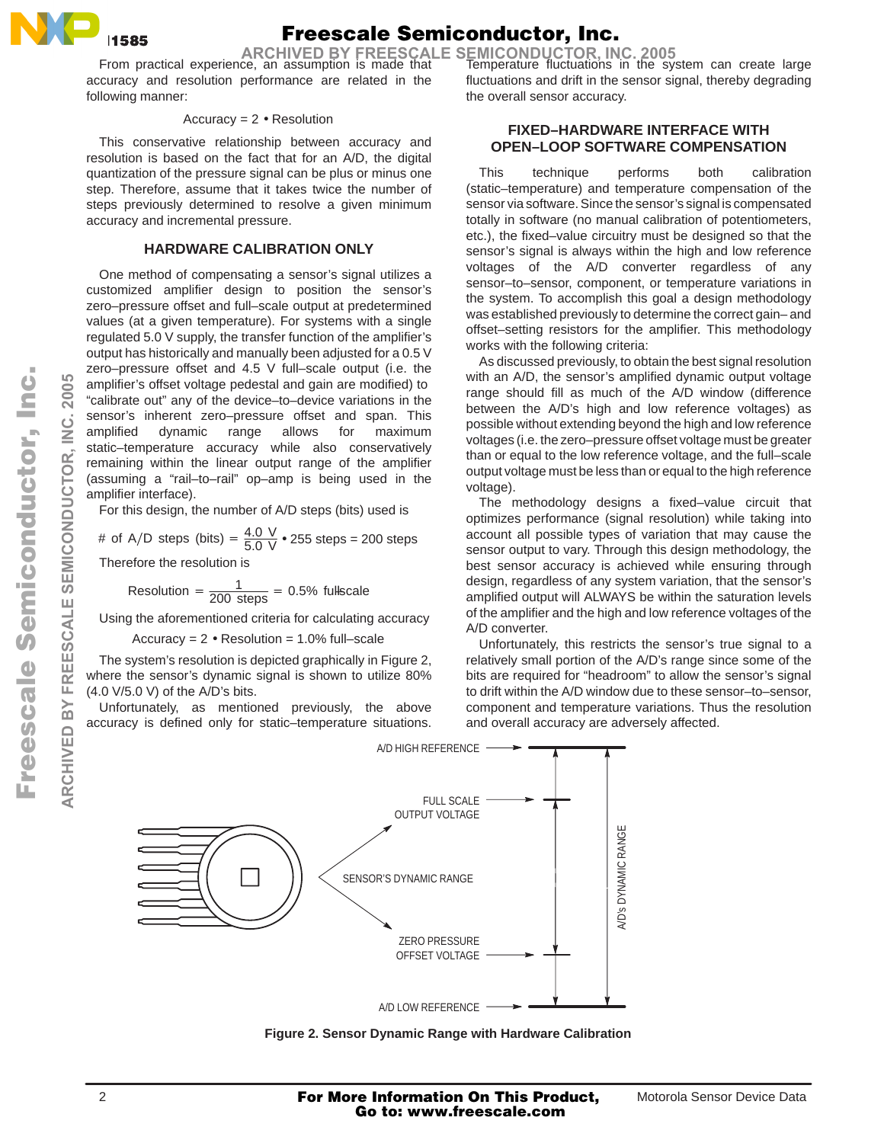

# Freescale Semiconductor, Inc.

**ARCHIVED BY FREESCALE SEMICONDUCTOR, INC. 2005** 

accuracy and resolution performance are related in the following manner:

### Accuracy = 2 • Resolution

This conservative relationship between accuracy and resolution is based on the fact that for an A/D, the digital quantization of the pressure signal can be plus or minus one step. Therefore, assume that it takes twice the number of steps previously determined to resolve a given minimum accuracy and incremental pressure.

### **HARDWARE CALIBRATION ONLY**

One method of compensating a sensor's signal utilizes a customized amplifier design to position the sensor's zero–pressure offset and full–scale output at predetermined values (at a given temperature). For systems with a single regulated 5.0 V supply, the transfer function of the amplifier's output has historically and manually been adjusted for a 0.5 V zero–pressure offset and 4.5 V full–scale output (i.e. the amplifier's offset voltage pedestal and gain are modified) to "calibrate out" any of the device–to–device variations in the sensor's inherent zero–pressure offset and span. This amplified dynamic range allows for maximum static–temperature accuracy while also conservatively remaining within the linear output range of the amplifier (assuming a "rail–to–rail" op–amp is being used in the amplifier interface).

For this design, the number of A/D steps (bits) used is

# of A/D steps (bits) = 
$$
\frac{4.0 \text{ V}}{5.0 \text{ V}}
$$
  $\bullet$  255 steps = 200 steps

Therefore the resolution is

Resolution = 
$$
\frac{1}{200 \text{ steps}}
$$
 = 0.5% fullscale

Using the aforementioned criteria for calculating accuracy

Accuracy =  $2 \cdot$  Resolution = 1.0% full–scale

The system's resolution is depicted graphically in Figure 2, where the sensor's dynamic signal is shown to utilize 80% (4.0 V/5.0 V) of the A/D's bits.

Unfortunately, as mentioned previously, the above accuracy is defined only for static–temperature situations.

From practical experience, an assumption is made that Temperature fluctuations in the system can create large fluctuations and drift in the sensor signal, thereby degrading the overall sensor accuracy.

### **FIXED–HARDWARE INTERFACE WITH OPEN–LOOP SOFTWARE COMPENSATION**

This technique performs both calibration (static–temperature) and temperature compensation of the sensor via software. Since the sensor's signal is compensated totally in software (no manual calibration of potentiometers, etc.), the fixed–value circuitry must be designed so that the sensor's signal is always within the high and low reference voltages of the A/D converter regardless of any sensor–to–sensor, component, or temperature variations in the system. To accomplish this goal a design methodology was established previously to determine the correct gain– and offset–setting resistors for the amplifier. This methodology works with the following criteria:

As discussed previously, to obtain the best signal resolution with an A/D, the sensor's amplified dynamic output voltage range should fill as much of the A/D window (difference between the A/D's high and low reference voltages) as possible without extending beyond the high and low reference voltages (i.e. the zero–pressure offset voltage must be greater than or equal to the low reference voltage, and the full–scale output voltage must be less than or equal to the high reference voltage).

The methodology designs a fixed–value circuit that optimizes performance (signal resolution) while taking into account all possible types of variation that may cause the sensor output to vary. Through this design methodology, the best sensor accuracy is achieved while ensuring through design, regardless of any system variation, that the sensor's amplified output will ALWAYS be within the saturation levels of the amplifier and the high and low reference voltages of the A/D converter.

Unfortunately, this restricts the sensor's true signal to a relatively small portion of the A/D's range since some of the bits are required for "headroom" to allow the sensor's signal to drift within the A/D window due to these sensor–to–sensor, component and temperature variations. Thus the resolution and overall accuracy are adversely affected.



**Figure 2. Sensor Dynamic Range with Hardware Calibration**

**ARCHIVED BY FREESCALE SEMICONDUCTOR, INC. 2005**

FREESCALE

 $\overline{\mathbf{m}}$ 

**ARCHIVED** 

SEMICONDUCTOR.

Ž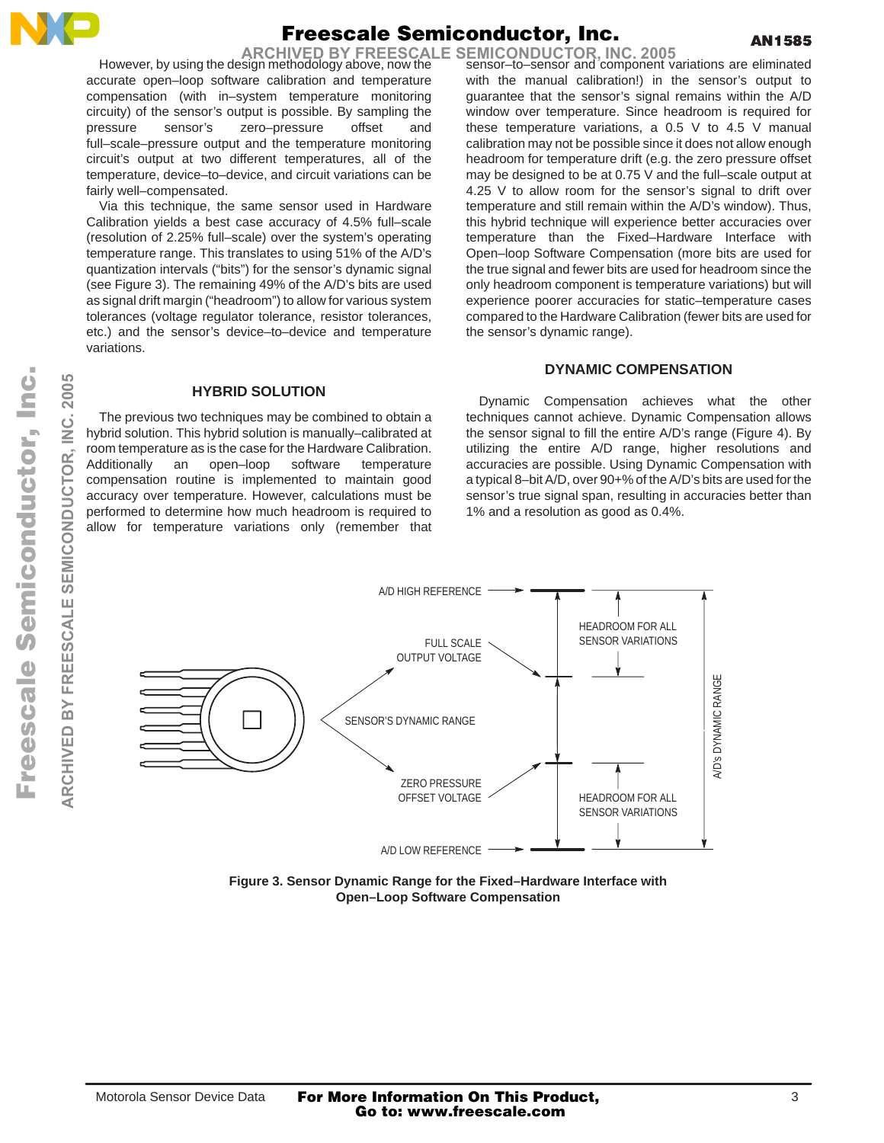

# Freescale Semiconductor, Inc.

**ARCHIVED BY FREESCALE SEMICONDUCTOR, INC. 2005**

However, by using the design methodology above, now the accurate open–loop software calibration and temperature compensation (with in–system temperature monitoring circuity) of the sensor's output is possible. By sampling the pressure sensor's zero–pressure offset and full–scale–pressure output and the temperature monitoring circuit's output at two different temperatures, all of the temperature, device–to–device, and circuit variations can be fairly well–compensated.

Via this technique, the same sensor used in Hardware Calibration yields a best case accuracy of 4.5% full–scale (resolution of 2.25% full–scale) over the system's operating temperature range. This translates to using 51% of the A/D's quantization intervals ("bits") for the sensor's dynamic signal (see Figure 3). The remaining 49% of the A/D's bits are used as signal drift margin ("headroom") to allow for various system tolerances (voltage regulator tolerance, resistor tolerances, etc.) and the sensor's device–to–device and temperature variations.

**HYBRID SOLUTION** The previous two techniques may be combined to obtain a hybrid solution. This hybrid solution is manually–calibrated at room temperature as is the case for the Hardware Calibration. Additionally an open–loop software temperature compensation routine is implemented to maintain good accuracy over temperature. However, calculations must be performed to determine how much headroom is required to allow for temperature variations only (remember that sensor–to–sensor and component variations are eliminated with the manual calibration!) in the sensor's output to guarantee that the sensor's signal remains within the A/D window over temperature. Since headroom is required for these temperature variations, a 0.5 V to 4.5 V manual calibration may not be possible since it does not allow enough headroom for temperature drift (e.g. the zero pressure offset may be designed to be at 0.75 V and the full–scale output at 4.25 V to allow room for the sensor's signal to drift over temperature and still remain within the A/D's window). Thus, this hybrid technique will experience better accuracies over temperature than the Fixed–Hardware Interface with Open–loop Software Compensation (more bits are used for the true signal and fewer bits are used for headroom since the only headroom component is temperature variations) but will experience poorer accuracies for static–temperature cases compared to the Hardware Calibration (fewer bits are used for the sensor's dynamic range).

## **DYNAMIC COMPENSATION**

Dynamic Compensation achieves what the other techniques cannot achieve. Dynamic Compensation allows the sensor signal to fill the entire A/D's range (Figure 4). By utilizing the entire A/D range, higher resolutions and accuracies are possible. Using Dynamic Compensation with a typical 8–bit A/D, over 90+% of the A/D's bits are used for the sensor's true signal span, resulting in accuracies better than 1% and a resolution as good as 0.4%.



**Figure 3. Sensor Dynamic Range for the Fixed–Hardware Interface with Open–Loop Software Compensation**

**ARCHIVED BY FREESCALE SEMICONDUCTOR, INC. 2005**

 $\geq$  $\overline{\mathbf{m}}$ 

2005

Ž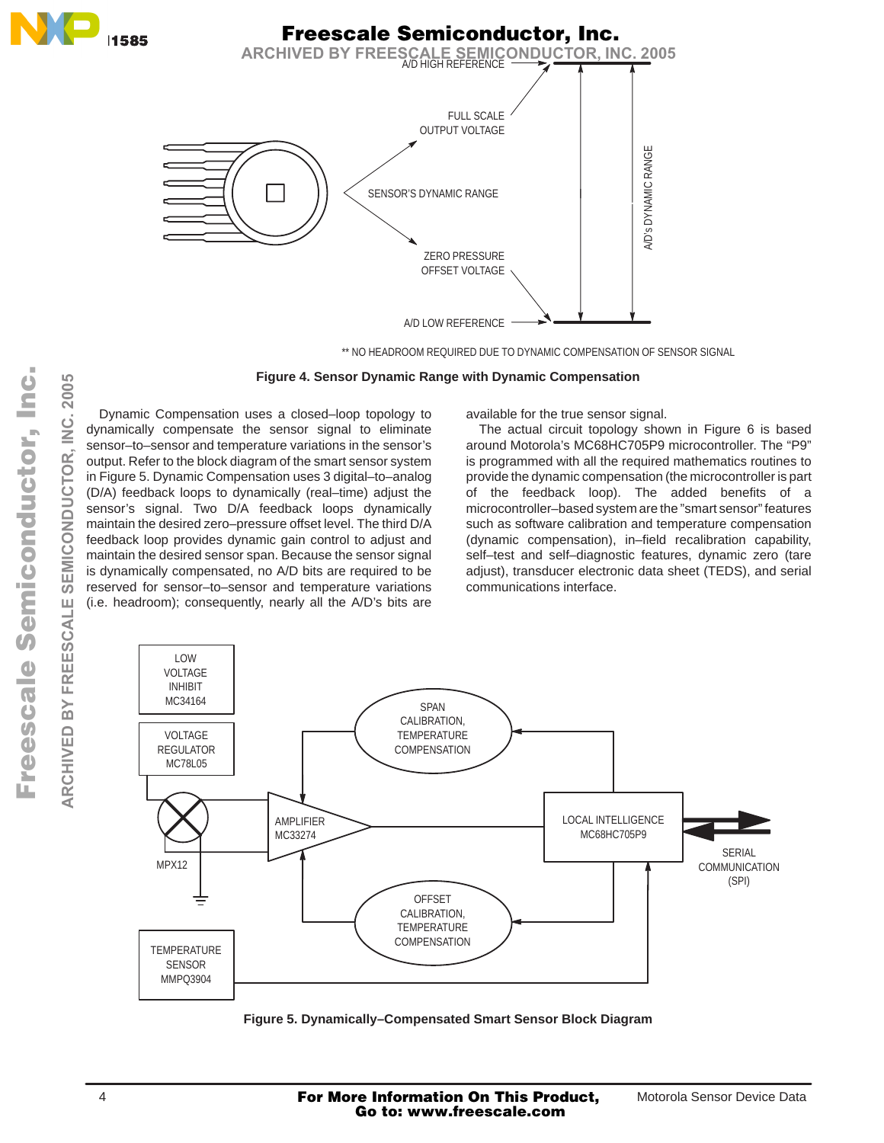

### **Figure 4. Sensor Dynamic Range with Dynamic Compensation**

Dynamic Compensation uses a closed–loop topology to dynamically compensate the sensor signal to eliminate sensor–to–sensor and temperature variations in the sensor's output. Refer to the block diagram of the smart sensor system in Figure 5. Dynamic Compensation uses 3 digital–to–analog (D/A) feedback loops to dynamically (real–time) adjust the sensor's signal. Two D/A feedback loops dynamically maintain the desired zero–pressure offset level. The third D/A feedback loop provides dynamic gain control to adjust and maintain the desired sensor span. Because the sensor signal is dynamically compensated, no A/D bits are required to be reserved for sensor–to–sensor and temperature variations (i.e. headroom); consequently, nearly all the A/D's bits are available for the true sensor signal.

The actual circuit topology shown in Figure 6 is based around Motorola's MC68HC705P9 microcontroller. The "P9" is programmed with all the required mathematics routines to provide the dynamic compensation (the microcontroller is part of the feedback loop). The added benefits of a microcontroller–based system are the "smart sensor" features such as software calibration and temperature compensation (dynamic compensation), in–field recalibration capability, self–test and self–diagnostic features, dynamic zero (tare adjust), transducer electronic data sheet (TEDS), and serial communications interface.



**Figure 5. Dynamically–Compensated Smart Sensor Block Diagram**

**ARCHIVED BY FREESCALE SEMICONDUCTOR, INC. 2005**

**FREESCALE** 

**ARCHIVED BY** 

SEMICONDUCTOR,

2005

 $\frac{1}{2}$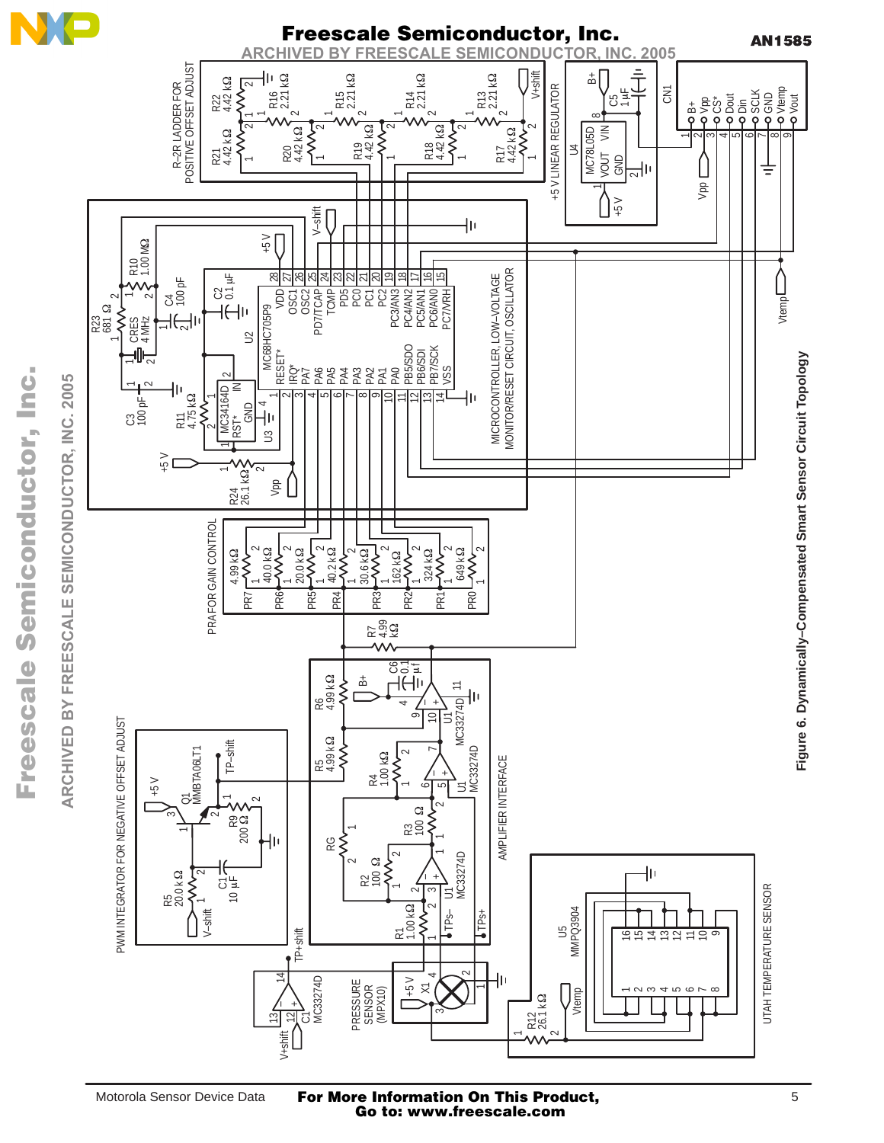

.<br>ق

F

For More Information On This Product, Go to: www.freescale.com